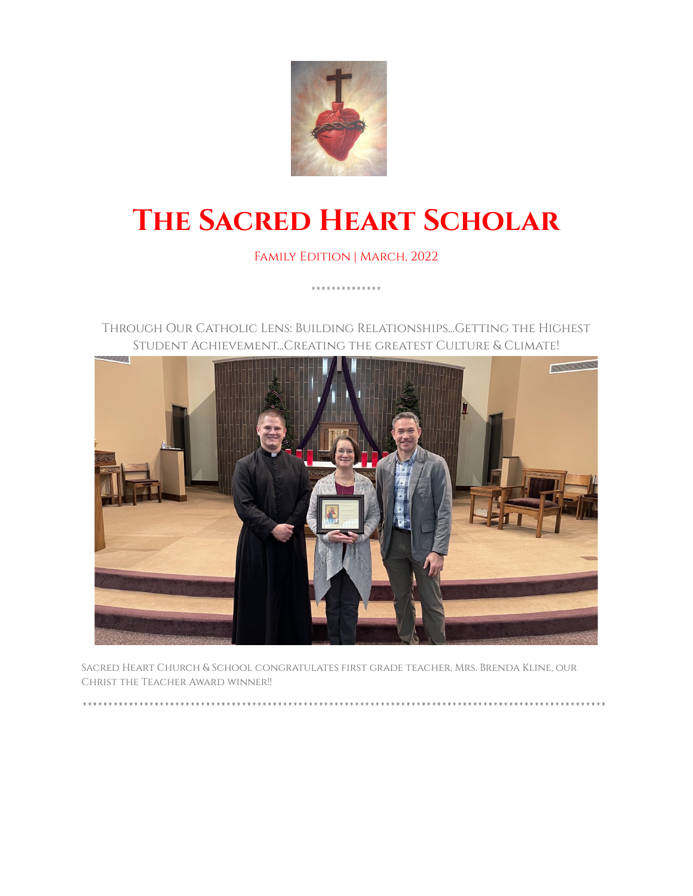

# **The Sacred Heart Scholar**

Family Edition | March, 2022

. . . . . . . . . . . . . .

Through Our Catholic Lens: Building Relationships...Getting the Highest Student Achievement...Creating the greatest Culture & Climate!



Sacred Heart Church & School congratulates first grade teacher, Mrs. Brenda Kline, our Christ the Teacher Award winner!!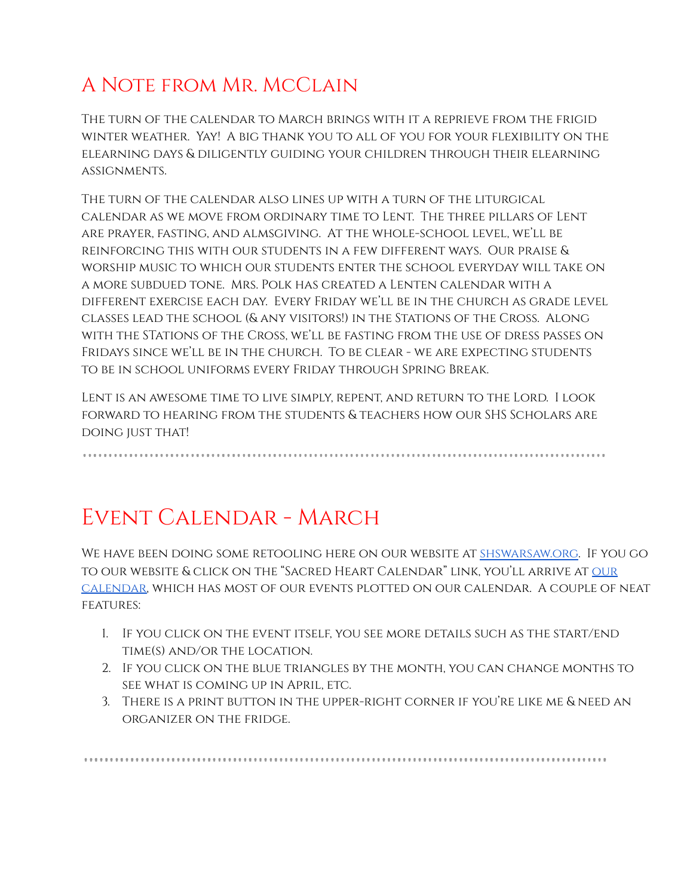### A Note from Mr. McClain

The turn of the calendar to March brings with it a reprieve from the frigid winter weather. Yay! A big thank you to all of you for your flexibility on the elearning days & diligently guiding your children through their elearning assignments.

The turn of the calendar also lines up with a turn of the liturgical calendar as we move from ordinary time to Lent. The three pillars of Lent are prayer, fasting, and almsgiving. At the whole-school level, we'll be reinforcing this with our students in a few different ways. Our praise & worship music to which our students enter the school everyday will take on a more subdued tone. Mrs. Polk has created a Lenten calendar with a different exercise each day. Every Friday we'll be in the church as grade level classes lead the school (& any visitors!) in the Stations of the Cross. Along with the STations of the Cross, we'll be fasting from the use of dress passes on Fridays since we'll be in the church. To be clear - we are expecting students to be in school uniforms every Friday through Spring Break.

Lent is an awesome time to live simply, repent, and return to the Lord. I look forward to hearing from the students & teachers how our SHS Scholars are doing just that!

#### Event Calendar - March

We have been doing some retooling here on our website at [shswarsaw.org](http://shswarsaw.org/). If you go to our website & click on the "Sacred Heart Calendar" link, you'll arrive at [our](https://calendar.google.com/calendar/u/2/embed?src=shscalendar@shswarsaw.org&ctz=America/Indiana/Indianapolis) [calendar,](https://calendar.google.com/calendar/u/2/embed?src=shscalendar@shswarsaw.org&ctz=America/Indiana/Indianapolis) which has most of our events plotted on our calendar. A couple of neat **FEATURES:** 

- 1. If you click on the event itself, you see more details such as the start/end time(s) and/or the location.
- 2. If you click on the blue triangles by the month, you can change months to see what is coming up in April, etc.
- 3. There is a print button in the upper-right corner if you're like me & need an organizer on the fridge.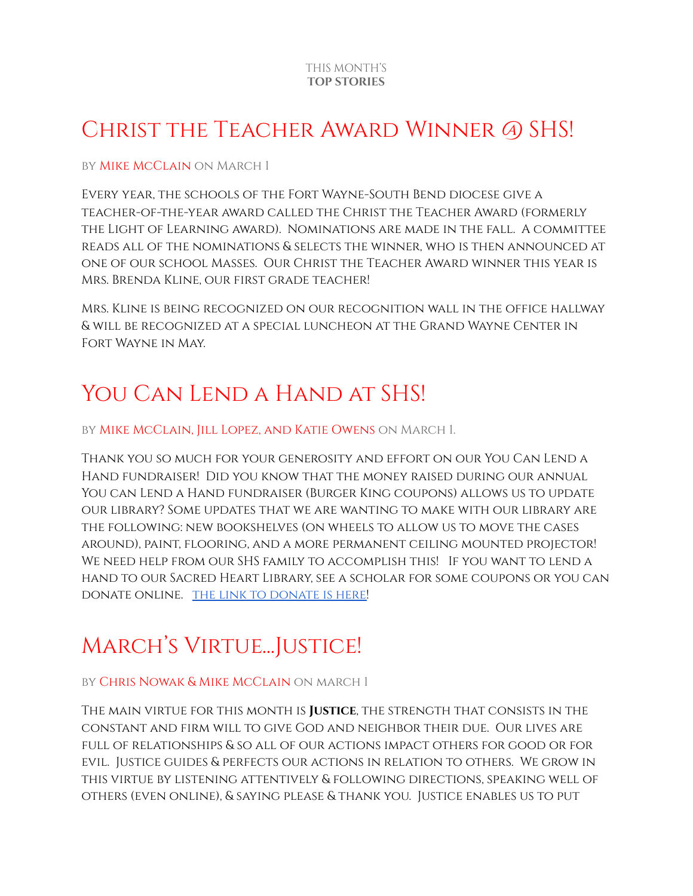#### CHRIST THE TEACHER AWARD WINNER @ SHS!

#### by Mike McClain on March 1

Every year, the schools of the Fort Wayne-South Bend diocese give a teacher-of-the-year award called the Christ the Teacher Award (formerly the Light of Learning award). Nominations are made in the fall. A committee reads all of the nominations & selects the winner, who is then announced at one of our school Masses. Our Christ the Teacher Award winner this year is Mrs. Brenda Kline, our first grade teacher!

Mrs. Kline is being recognized on our recognition wall in the office hallway & will be recognized at a special luncheon at the Grand Wayne Center in Fort Wayne in May.

### YOU CAN LEND A HAND AT SHS!

by Mike McClain, Jill Lopez, and Katie Owens on March 1.

Thank you so much for your generosity and effort on our You Can Lend a Hand fundraiser! Did you know that the money raised during our annual You can Lend a Hand fundraiser (Burger King coupons) allows us to update our library? Some updates that we are wanting to make with our library are the following: new bookshelves (on wheels to allow us to move the cases around), paint, flooring, and a more permanent ceiling mounted projector! We need help from our SHS family to accomplish this! If you want to lend a hand to our Sacred Heart Library, see a scholar for some coupons or you can donate online. the link to [donate](https://www.youcanlendahand.com/buycouponsanddonate.html) is here!

### March's Virtue...Justice!

#### by Chris Nowak & Mike McClain on march 1

The main virtue for this month is **Justice**, the strength that consists in the constant and firm will to give God and neighbor their due. Our lives are full of relationships & so all of our actions impact others for good or for evil. Justice guides & perfects our actions in relation to others. We grow in this virtue by listening attentively & following directions, speaking well of others (even online), & saying please & thank you. Justice enables us to put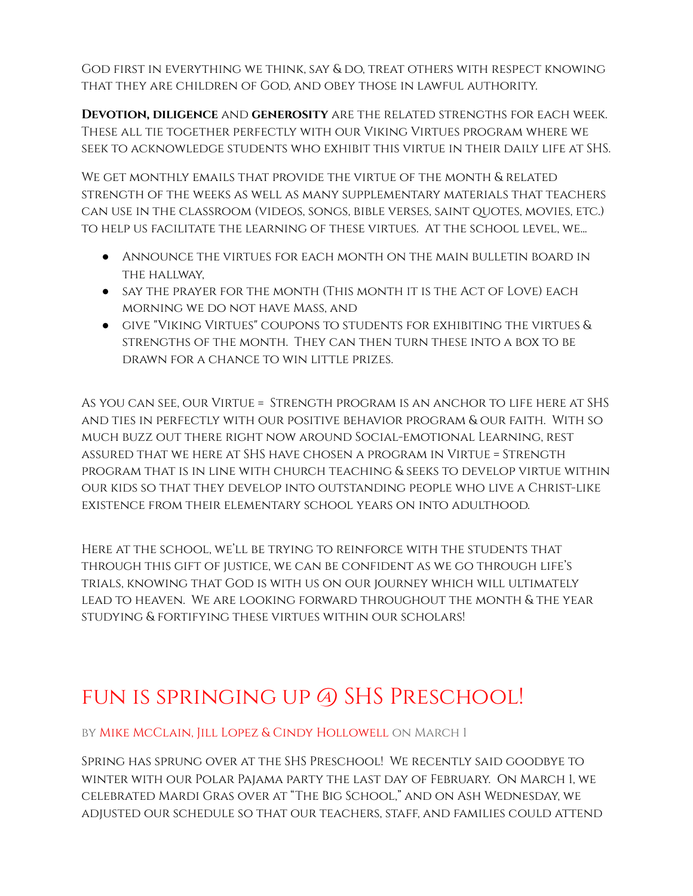God first in everything we think, say & do, treat others with respect knowing that they are children of God, and obey those in lawful authority.

**Devotion, diligence** and **generosity** are the related strengths for each week. These all tie together perfectly with our Viking Virtues program where we seek to acknowledge students who exhibit this virtue in their daily life at SHS.

We get monthly emails that provide the virtue of the month & related strength of the weeks as well as many supplementary materials that teachers can use in the classroom (videos, songs, bible verses, saint quotes, movies, etc.) to help us facilitate the learning of these virtues. At the school level, we...

- Announce the virtues for each month on the main bulletin board in the hallway,
- say the prayer for the month (This month it is the Act of Love) each morning we do not have Mass, and
- give "Viking Virtues" coupons to students for exhibiting the virtues & strengths of the month. They can then turn these into a box to be drawn for a chance to win little prizes.

As you can see, our Virtue = Strength program is an anchor to life here at SHS and ties in perfectly with our positive behavior program & our faith. With so much buzz out there right now around Social-emotional Learning, rest assured that we here at SHS have chosen a program in Virtue = Strength program that is in line with church teaching & seeks to develop virtue within our kids so that they develop into outstanding people who live a Christ-like existence from their elementary school years on into adulthood.

Here at the school, we'll be trying to reinforce with the students that through this gift of justice, we can be confident as we go through life's trials, knowing that God is with us on our journey which will ultimately lead to heaven. We are looking forward throughout the month & the year studying & fortifying these virtues within our scholars!

### fun is springing up @ SHS Preschool!

by Mike McClain, Jill Lopez & Cindy Hollowell on March 1

Spring has sprung over at the SHS Preschool! We recently said goodbye to winter with our Polar Pajama party the last day of February. On March 1, we celebrated Mardi Gras over at "The Big School," and on Ash Wednesday, we adjusted our schedule so that our teachers, staff, and families could attend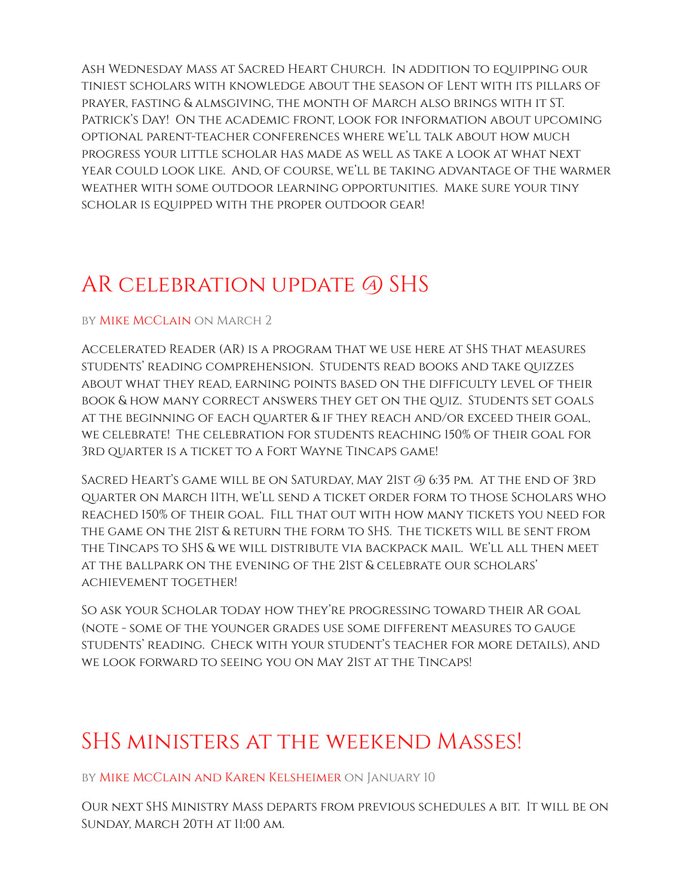Ash Wednesday Mass at Sacred Heart Church. In addition to equipping our tiniest scholars with knowledge about the season of Lent with its pillars of prayer, fasting & almsgiving, the month of March also brings with it ST. Patrick's Day! On the academic front, look for information about upcoming optional parent-teacher conferences where we'll talk about how much progress your little scholar has made as well as take a look at what next year could look like. And, of course, we'll be taking advantage of the warmer weather with some outdoor learning opportunities. Make sure your tiny scholar is equipped with the proper outdoor gear!

### AR celebration update @ SHS

#### by Mike McClain on March 2

Accelerated Reader (AR) is a program that we use here at SHS that measures students' reading comprehension. Students read books and take quizzes about what they read, earning points based on the difficulty level of their book & how many correct answers they get on the quiz. Students set goals at the beginning of each quarter & if they reach and/or exceed their goal, we celebrate! The celebration for students reaching 150% of their goal for 3rd quarter is a ticket to a Fort Wayne Tincaps game!

Sacred Heart's game will be on Saturday, May 21st @ 6:35 pm. At the end of 3rd quarter on March 11th, we'll send a ticket order form to those Scholars who reached 150% of their goal. Fill that out with how many tickets you need for the game on the 21st & return the form to SHS. The tickets will be sent from the Tincaps to SHS & we will distribute via backpack mail. We'll all then meet at the ballpark on the evening of the 21st & celebrate our scholars' achievement together!

So ask your Scholar today how they're progressing toward their AR goal (note - some of the younger grades use some different measures to gauge students' reading. Check with your student's teacher for more details), and we look forward to seeing you on May 21st at the Tincaps!

#### SHS ministers at the weekend Masses!

by Mike McClain and Karen Kelsheimer on January 10

Our next SHS Ministry Mass departs from previous schedules a bit. It will be on Sunday, March 20th at 11:00 am.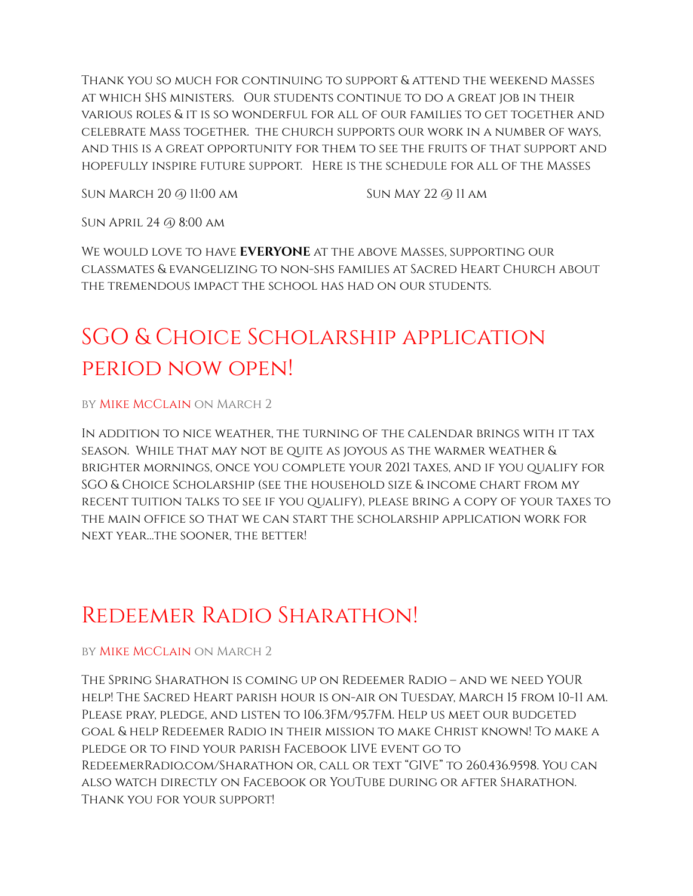Thank you so much for continuing to support & attend the weekend Masses at which SHS ministers. Our students continue to do a great job in their various roles & it is so wonderful for all of our families to get together and celebrate Mass together. the church supports our work in a number of ways, and this is a great opportunity for them to see the fruits of that support and hopefully inspire future support. Here is the schedule for all of the Masses

Sun March 20 @ 11:00 am

Sun May 22 @ 11 am

Sun April 24 @ 8:00 am

We would love to have **EVERYONE** at the above Masses, supporting our classmates & evangelizing to non-shs families at Sacred Heart Church about the tremendous impact the school has had on our students.

# SGO & Choice Scholarship application period now open!

by Mike McClain on March 2

In addition to nice weather, the turning of the calendar brings with it tax season. While that may not be quite as joyous as the warmer weather & brighter mornings, once you complete your 2021 taxes, and if you qualify for SGO & Choice Scholarship (see the household size & income chart from my recent tuition talks to see if you qualify), please bring a copy of your taxes to the main office so that we can start the scholarship application work for next year…the sooner, the better!

#### Redeemer Radio Sharathon!

#### by Mike McClain on March 2

The Spring Sharathon is coming up on Redeemer Radio – and we need YOUR help! The Sacred Heart parish hour is on-air on Tuesday, March 15 from 10-11 am. Please pray, pledge, and listen to 106.3FM/95.7FM. Help us meet our budgeted goal & help Redeemer Radio in their mission to make Christ known! To make a pledge or to find your parish Facebook LIVE event go to RedeemerRadio.com/Sharathon or, call or text "GIVE" to 260.436.9598. You can also watch directly on Facebook or YouTube during or after Sharathon. Thank you for your support!